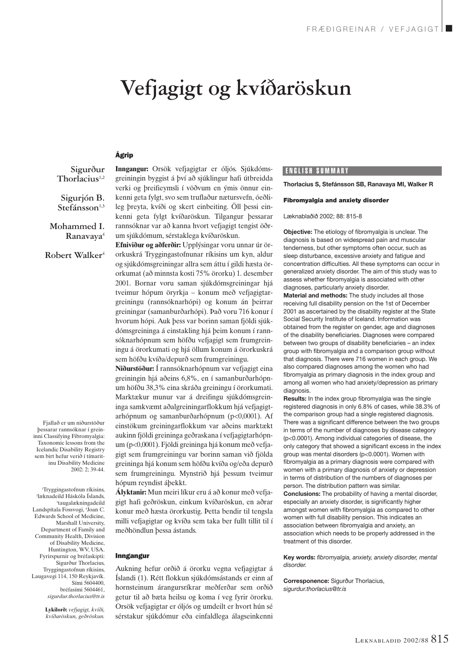# **Vefjagigt og kvíðaröskun**

## Ágrip

**Sigurður** Thorlacius<sup>1,2</sup>

**Sigurjón B.** Stefánsson<sup>1,3</sup>

**Mohammed I. Ranavaya4**

**Robert Walker**<sup>4</sup>

Fjallað er um niðurstöður þessarar rannsóknar í greininni Classifying Fibromyalgia: Taxonomic lessons from the Icelandic Disability Registry sem birt hefur verið í tímaritinu Disability Medicine 2002: 2; 39-44.

1 Tryggingastofnun ríkisins, 2 læknadeild Háskóla Íslands, 3 taugalækningadeild Landspítala Fossvogi, 4 Joan C. Edwards School of Medicine, Marshall University, Department of Family and Community Health, Division of Disability Medicine, Huntington, WV, USA. Fyrirspurnir og bréfaskipti: Sigurður Thorlacius, Tryggingastofnun ríkisins, Laugavegi 114, 150 Reykjavík. Sími 5604400, bréfasími 5604461, *sigurdur.thorlacius@tr.is*

> **Lykilorð:** *vefjagigt, kvíði, kvíðaröskun, geðröskun.*

**Inngangur:** Orsök vefjagigtar er óljós. Sjúkdómsgreiningin byggist á því að sjúklingur hafi útbreidda verki og þreifieymsli í vöðvum en ýmis önnur einkenni geta fylgt, svo sem truflaður nætursvefn, óeðlileg þreyta, kvíði og skert einbeiting. Öll þessi einkenni geta fylgt kvíðaröskun. Tilgangur þessarar rannsóknar var að kanna hvort vefjagigt tengist öðrum sjúkdómum, sérstaklega kvíðaröskun.

**Efniviður og aðferðir:** Upplýsingar voru unnar úr örorkuskrá Tryggingastofnunar ríkisins um kyn, aldur og sjúkdómsgreiningar allra sem áttu í gildi hæsta örorkumat (að minnsta kosti 75% örorku) 1. desember 2001. Bornar voru saman sjúkdómsgreiningar hjá tveimur hópum öryrkja – konum með vefjagigtargreiningu (rannsóknarhópi) og konum án þeirrar greiningar (samanburðarhópi). Það voru 716 konur í hvorum hópi. Auk þess var borinn saman fjöldi sjúkdómsgreininga á einstakling hjá þeim konum í rannsóknarhópnum sem höfðu vefjagigt sem frumgreiningu á örorkumati og hjá öllum konum á örorkuskrá sem höfðu kvíða/depurð sem frumgreiningu.

**Niðurstöður:** Í rannsóknarhópnum var vefjagigt eina greiningin hjá aðeins 6,8%, en í samanburðarhópnum höfðu 38,3% eina skráða greiningu í örorkumati. Marktækur munur var á dreifingu sjúkdómsgreininga samkvæmt aðalgreiningarflokkum hjá vefjagigtarhópnum og samanburðarhópnum (p<0,0001). Af einstökum greiningarflokkum var aðeins marktækt aukinn fjöldi greininga geðraskana í vefjagigtarhópnum (p<0,0001). Fjöldi greininga hjá konum með vefjagigt sem frumgreiningu var borinn saman við fjölda greininga hjá konum sem höfðu kvíða og/eða depurð sem frumgreiningu. Mynstrið hjá þessum tveimur hópum reyndist áþekkt.

**Ályktanir:** Mun meiri líkur eru á að konur með vefjagigt hafi geðröskun, einkum kvíðaröskun, en aðrar konur með hæsta örorkustig. Þetta bendir til tengsla milli vefjagigtar og kvíða sem taka ber fullt tillit til í meðhöndlun þessa ástands.

### Inngangur

Aukning hefur orðið á örorku vegna vefjagigtar á Íslandi (1). Rétt flokkun sjúkdómsástands er einn af hornsteinum árangursríkrar meðferðar sem orðið getur til að bæta heilsu og koma í veg fyrir örorku. Orsök vefjagigtar er óljós og umdeilt er hvort hún sé sérstakur sjúkdómur eða einfaldlega álagseinkenni

# ENGLISH SUMMARY

**Thorlacius S, Stefánsson SB, Ranavaya MI, Walker R**

#### **Fibromyalgia and anxiety disorder**

Læknablaðið 2002; 88: 815-8

**Objective:** The etiology of fibromyalgia is unclear. The diagnosis is based on widespread pain and muscular tenderness, but other symptoms often occur, such as sleep disturbance, excessive anxiety and fatigue and concentration difficulties. All these symptoms can occur in generalized anxiety disorder. The aim of this study was to assess whether fibromyalgia is associated with other diagnoses, particularly anxiety disorder.

**Material and methods:** The study includes all those receiving full disability pension on the 1st of December 2001 as ascertained by the disability register at the State Social Security Institute of Iceland. Information was obtained from the register on gender, age and diagnoses of the disability beneficiaries. Diagnoses were compared between two groups of disability beneficiaries – an index group with fibromyalgia and a comparison group without that diagnosis. There were 716 women in each group. We also compared diagnoses among the women who had fibromyalgia as primary diagnosis in the index group and among all women who had anxiety/depression as primary diagnosis.

**Results:** In the index group fibromyalgia was the single registered diagnosis in only 6.8% of cases, while 38.3% of the comparison group had a single registered diagnosis. There was a significant difference between the two groups in terms of the number of diagnoses by disease category (p<0.0001). Among individual categories of disease, the only category that showed a significant excess in the index group was mental disorders (p<0.0001). Women with fibromyalgia as a primary diagnosis were compared with women with a primary diagnosis of anxiety or depression in terms of distribution of the numbers of diagnoses per person. The distribution pattern was similar. **Conclusions:** The probability of having a mental disorder, especially an anxiety disorder, is significantly higher amongst women with fibromyalgia as compared to other women with full disability pension. This indicates an association between fibromyalgia and anxiety, an association which needs to be properly addressed in the treatment of this disorder.

**Key words:** *fibromyalgia, anxiety, anxiety disorder, mental disorder.*

**Corresponence:** Sigurður Thorlacius, *sigurdur.thorlacius@tr.is*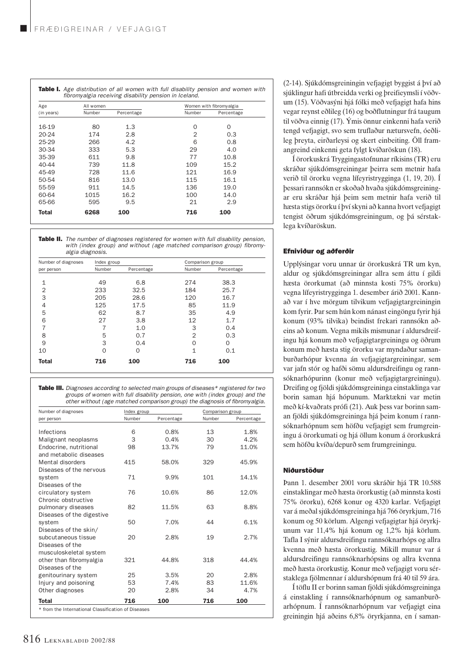| Age        | All women |            |        | Women with fibromyalgia |  |  |
|------------|-----------|------------|--------|-------------------------|--|--|
| (in years) | Number    | Percentage | Number | Percentage              |  |  |
| 16-19      | 80        | 1.3        | O      | $\Omega$                |  |  |
| $20 - 24$  | 174       | 2.8        | 2      | 0.3                     |  |  |
| $25-29$    | 266       | 4.2        | 6      | 0.8                     |  |  |
| 30-34      | 333       | 5.3        | 29     | 4.0                     |  |  |
| 35-39      | 611       | 9.8        | 77     | 10.8                    |  |  |
| 40-44      | 739       | 11.8       | 109    | 15.2                    |  |  |
| 45-49      | 728       | 11.6       | 121    | 16.9                    |  |  |
| 50-54      | 816       | 13.0       | 115    | 16.1                    |  |  |
| 55-59      | 911       | 14.5       | 136    | 19.0                    |  |  |
| 60-64      | 1015      | 16.2       | 100    | 14.0                    |  |  |
| 65-66      | 595       | 9.5        | 21     | 2.9                     |  |  |
| Total      | 6268      | 100        | 716    | 100                     |  |  |

Table II. *The number of diagnoses registered for women with full disability pension, with (index group) and without (age matched comparison group) fibromyalgia diagnosis.* 

| Number of diagnoses | Index group |            | Comparison group |            |
|---------------------|-------------|------------|------------------|------------|
| per person          | Number      | Percentage | Number           | Percentage |
|                     |             |            |                  |            |
| 1                   | 49          | 6.8        | 274              | 38.3       |
| 2                   | 233         | 32.5       | 184              | 25.7       |
| 3                   | 205         | 28.6       | 120              | 16.7       |
| 4                   | 125         | 17.5       | 85               | 11.9       |
| 5                   | 62          | 8.7        | 35               | 4.9        |
| 6                   | 27          | 3.8        | 12               | 1.7        |
|                     |             | 1.0        | 3                | 0.4        |
| 8                   | 5           | 0.7        | $\overline{2}$   | 0.3        |
| 9                   | 3           | 0.4        | Ω                | $\Omega$   |
| 10                  | 0           | $\Omega$   | 1                | 0.1        |
| <b>Total</b>        | 716         | 100        | 716              | 100        |

Table III. *Diagnoses according to selected main groups of diseases\* registered for two groups of women with full disability pension, one with (index group) and the other without (age matched comparison group) the diagnosis of fibromyalgia.*

| Number of diagnoses       | Index group |            | Comparison group |            |
|---------------------------|-------------|------------|------------------|------------|
| per person                | Number      | Percentage | Number           | Percentage |
| Infections                | 6           | 0.8%       | 13               | 1.8%       |
| Malignant neoplasms       | 3           | 0.4%       | 30               | 4.2%       |
| Endocrine, nutritional    | 98          | 13.7%      | 79               | 11.0%      |
| and metabolic diseases    |             |            |                  |            |
| Mental disorders          | 415         | 58.0%      | 329              | 45.9%      |
| Diseases of the nervous   |             |            |                  |            |
| system                    | 71          | 9.9%       | 101              | 14.1%      |
| Diseases of the           |             |            |                  |            |
| circulatory system        | 76          | 10.6%      | 86               | 12.0%      |
| Chronic obstructive       |             |            |                  |            |
| pulmonary diseases        | 82          | 11.5%      | 63               | 8.8%       |
| Diseases of the digestive |             |            |                  |            |
| system                    | 50          | 7.0%       | 44               | 6.1%       |
| Diseases of the skin/     |             |            |                  |            |
| subcutaneous tissue       | 20          | 2.8%       | 19               | 2.7%       |
| Diseases of the           |             |            |                  |            |
| musculoskeletal system    |             |            |                  |            |
| other than fibromyalgia   | 321         | 44.8%      | 318              | 44.4%      |
| Diseases of the           |             |            |                  |            |
| genitourinary system      | 25          | 3.5%       | 20               | 2.8%       |
| Injury and poisoning      | 53          | 7.4%       | 83               | 11.6%      |
| Other diagnoses           | 20          | 2.8%       | 34               | 4.7%       |
| <b>Total</b>              | 716         | 100        | 716              | 100        |

816 LÆKNABLAÐIÐ 2002/88

(2-14). Sjúkdómsgreiningin vefjagigt byggist á því að sjúklingur hafi útbreidda verki og þreifieymsli í vöðvum (15). Vöðvasýni hjá fólki með vefjagigt hafa hins vegar reynst eðlileg (16) og boðflutningur frá taugum til vöðva einnig (17). Ýmis önnur einkenni hafa verið tengd vefjagigt, svo sem truflaður nætursvefn, óeðlileg þreyta, eirðarleysi og skert einbeiting. Öll framangreind einkenni geta fylgt kvíðaröskun (18).

Í örorkuskrá Tryggingastofnunar ríkisins (TR) eru skráðar sjúkdómsgreiningar þeirra sem metnir hafa verið til örorku vegna lífeyristrygginga (1, 19, 20). Í þessari rannsókn er skoðað hvaða sjúkdómsgreiningar eru skráðar hjá þeim sem metnir hafa verið til hæsta stigs örorku í því skyni að kanna hvort vefjagigt tengist öðrum sjúkdómsgreiningum, og þá sérstaklega kvíðaröskun.

# Efniviður og aðferðir

Upplýsingar voru unnar úr örorkuskrá TR um kyn, aldur og sjúkdómsgreiningar allra sem áttu í gildi hæsta örorkumat (að minnsta kosti 75% örorku) vegna lífeyristrygginga 1. desember árið 2001. Kannað var í hve mörgum tilvikum vefjagigtargreiningin kom fyrir. Þar sem hún kom nánast eingöngu fyrir hjá konum (93% tilvika) beindist frekari rannsókn aðeins að konum. Vegna mikils mismunar í aldursdreifingu hjá konum með vefjagigtargreiningu og öðrum konum með hæsta stig örorku var myndaður samanburðarhópur kvenna án vefjagigtargreiningar, sem var jafn stór og hafði sömu aldursdreifingu og rannsóknarhópurinn (konur með vefjagigtargreiningu). Dreifing og fjöldi sjúkdómsgreininga einstaklinga var borin saman hjá hópunum. Marktækni var metin með kí-kvaðrats prófi (21). Auk þess var borinn saman fjöldi sjúkdómsgreininga hjá þeim konum í rannsóknarhópnum sem höfðu vefjagigt sem frumgreiningu á örorkumati og hjá öllum konum á örorkuskrá sem höfðu kvíða/depurð sem frumgreiningu.

## Niðurstöður

Þann 1. desember 2001 voru skráðir hjá TR 10.588 einstaklingar með hæsta örorkustig (að minnsta kosti 75% örorku), 6268 konur og 4320 karlar. Vefjagigt var á meðal sjúkdómsgreininga hjá 766 öryrkjum, 716 konum og 50 körlum. Algengi vefjagigtar hjá öryrkjunum var 11,4% hjá konum og 1,2% hjá körlum. Tafla I sýnir aldursdreifingu rannsóknarhóps og allra kvenna með hæsta örorkustig. Mikill munur var á aldursdreifingu rannsóknarhópsins og allra kvenna með hæsta örorkustig. Konur með vefjagigt voru sérstaklega fjölmennar í aldurshópnum frá 40 til 59 ára.

Í töflu II er borinn saman fjöldi sjúkdómsgreininga á einstakling í rannsóknarhópnum og samanburðarhópnum. Í rannsóknarhópnum var vefjagigt eina greiningin hjá aðeins 6,8% öryrkjanna, en í saman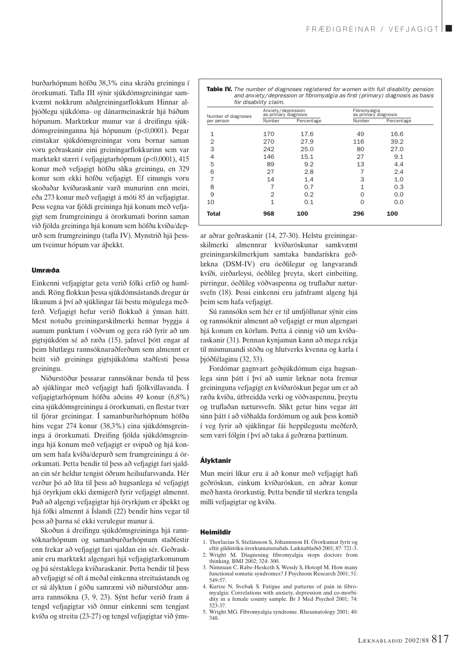burðarhópnum höfðu 38,3% eina skráða greiningu í örorkumati. Tafla III sýnir sjúkdómsgreiningar samkvæmt nokkrum aðalgreiningarflokkum Hinnar alþjóðlegu sjúkdóma- og dánarmeinaskrár hjá báðum hópunum. Marktækur munur var á dreifingu sjúkdómsgreininganna hjá hópunum (p<0,0001). Þegar einstakar sjúkdómsgreiningar voru bornar saman voru geðraskanir eini greiningarflokkurinn sem var marktækt stærri í vefjagigtarhópnum (p<0,0001), 415 konur með vefjagigt höfðu slíka greiningu, en 329 konur sem ekki höfðu vefjagigt. Ef einungis voru skoðaðar kvíðaraskanir varð munurinn enn meiri, eða 273 konur með vefjagigt á móti 85 án vefjagigtar. Þess vegna var fjöldi greininga hjá konum með vefjagigt sem frumgreiningu á örorkumati borinn saman við fjölda greininga hjá konum sem höfðu kvíða/depurð sem frumgreiningu (tafla IV). Mynstrið hjá þessum tveimur hópum var áþekkt.

#### Umræða

Einkenni vefjagigtar geta verið fólki erfið og hamlandi. Röng flokkun þessa sjúkdómsástands dregur úr líkunum á því að sjúklingar fái bestu mögulega meðferð. Vefjagigt hefur verið flokkuð á ýmsan hátt. Mest notuðu greiningarskilmerki hennar byggja á aumum punktum í vöðvum og gera ráð fyrir að um gigtsjúkdóm sé að ræða (15), jafnvel þótt engar af þeim hlutlægu rannsóknaraðferðum sem almennt er beitt við greiningu gigtsjúkdóma staðfesti þessa greiningu.

Niðurstöður þessarar rannsóknar benda til þess að sjúklingar með vefjagigt hafi fjölkvillavanda. Í vefjagigtarhópnum höfðu aðeins 49 konur (6,8%) eina sjúkdómsgreiningu á örorkumati, en flestar tvær til fjórar greiningar. Í samanburðarhópnum höfðu hins vegar 274 konur (38,3%) eina sjúkdómsgreiningu á örorkumati. Dreifing fjölda sjúkdómsgreininga hjá konum með vefjagigt er svipuð og hjá konum sem hafa kvíða/depurð sem frumgreiningu á örorkumati. Þetta bendir til þess að vefjagigt fari sjaldan ein sér heldur tengist öðrum heilsufarsvanda. Hér verður þó að líta til þess að hugsanlega sé vefjagigt hjá öryrkjum ekki dæmigerð fyrir vefjagigt almennt. Það að algengi vefjagigtar hjá öryrkjum er áþekkt og hjá fólki almennt á Íslandi (22) bendir hins vegar til þess að þarna sé ekki verulegur munur á.

Skoðun á dreifingu sjúkdómsgreininga hjá rannsóknarhópnum og samanburðarhópnum staðfestir enn frekar að vefjagigt fari sjaldan ein sér. Geðraskanir eru marktækt algengari hjá vefjagigtarkonunum og þá sérstaklega kvíðaraskanir. Þetta bendir til þess að vefjagigt sé oft á meðal einkenna streituástands og er sú ályktun í góðu samræmi við niðurstöður annarra rannsókna (3, 9, 23). Sýnt hefur verið fram á tengsl vefjagigtar við önnur einkenni sem tengjast kvíða og streitu (23-27) og tengsl vefjagigtar við ýmsTable IV. *The number of diagnoses registered for women with full disability pension and anxiety/depression or fibromyalgia as first (primary) diagnosis as basis for disability claim.*

| Number of diagnoses<br>per person | Anxiety/depression<br>as primary diagnosis |            | Fibromyalgia<br>as primary diagnosis |            |
|-----------------------------------|--------------------------------------------|------------|--------------------------------------|------------|
|                                   | Number                                     | Percentage | Number                               | Percentage |
| 1                                 | 170                                        | 17.6       | 49                                   | 16.6       |
| $\overline{2}$                    | 270                                        | 27.9       | 116                                  | 39.2       |
| 3                                 | 242                                        | 25.0       | 80                                   | 27.0       |
| 4                                 | 146                                        | 15.1       | 27                                   | 9.1        |
| 5                                 | 89                                         | 9.2        | 13                                   | 4.4        |
| 6                                 | 27                                         | 2.8        | 7                                    | 2.4        |
| 7                                 | 14                                         | 1.4        | 3                                    | 1.0        |
| 8                                 |                                            | 0.7        | 1                                    | 0.3        |
| 9                                 | $\overline{2}$                             | 0.2        | $\Omega$                             | 0.0        |
| 10                                | $\mathbf{1}$                               | 0.1        | 0                                    | 0.0        |
| <b>Total</b>                      | 968                                        | 100        | 296                                  | 100        |

ar aðrar geðraskanir (14, 27-30). Helstu greiningarskilmerki almennrar kvíðaröskunar samkvæmt greiningarskilmerkjum samtaka bandarískra geðlækna (DSM-IV) eru óeðlilegur og langvarandi kvíði, eirðarleysi, óeðlileg þreyta, skert einbeiting, pirringur, óeðlileg vöðvaspenna og truflaður nætursvefn (18). Þessi einkenni eru jafnframt algeng hjá þeim sem hafa vefjagigt.

Sú rannsókn sem hér er til umfjöllunar sýnir eins og rannsóknir almennt að vefjagigt er mun algengari hjá konum en körlum. Þetta á einnig við um kvíðaraskanir (31). Þennan kynjamun kann að mega rekja til mismunandi stöðu og hlutverks kvenna og karla í þjóðfélaginu (32, 33).

Fordómar gagnvart geðsjúkdómum eiga hugsanlega sinn þátt í því að sumir læknar nota fremur greininguna vefjagigt en kvíðaröskun þegar um er að ræða kvíða, útbreidda verki og vöðvaspennu, þreytu og truflaðan nætursvefn. Slíkt getur hins vegar átt sinn þátt í að viðhalda fordómum og auk þess komið í veg fyrir að sjúklingar fái heppilegustu meðferð, sem væri fólgin í því að taka á geðræna þættinum.

#### Ályktanir

Mun meiri líkur eru á að konur með vefjagigt hafi geðröskun, einkum kvíðaröskun, en aðrar konur með hæsta örorkustig. Þetta bendir til sterkra tengsla milli vefjagigtar og kvíða.

### Heimildir

- 1. Thorlacius S, Stefánsson S, Jóhannsson H. Örorkumat fyrir og eftir gildistöku örorkumatsstaðals. Læknablaðið 2001; 87: 721-3.
- 2. Wright M. Diagnosing fibromyalgia stops doctors from thinking. BMJ 2002; 324: 300.
- 3. Nimnuan C, Rabe-Hesketh S, Wessly S, Hotopf M. How many functional somatic syndromes? J Psychsom Research 2001; 51: 549-57.
- 4. Kurtze N, Svebak S. Fatigue and patterns of pain in fibromyalgia: Correlations with anxiety, depression and co-morbidity in a female county sample. Br J Med Psychol 2001; 74: 523-37.
- 5. Wright MG. Fibromyalgia syndrome. Rheumatology 2001; 40: 348.